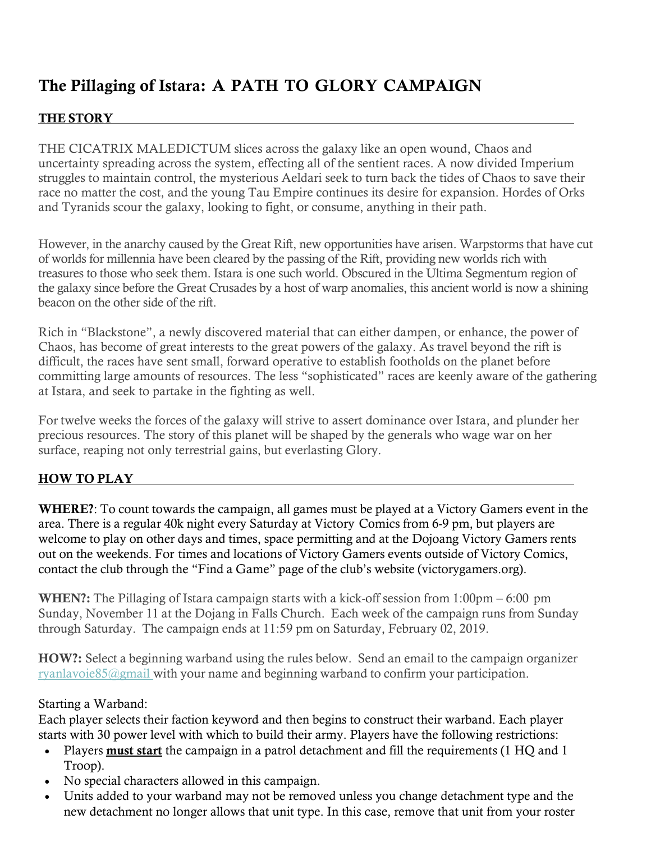# The Pillaging of Istara: A PATH TO GLORY CAMPAIGN

### THE STORY

THE CICATRIX MALEDICTUM slices across the galaxy like an open wound, Chaos and uncertainty spreading across the system, effecting all of the sentient races. A now divided Imperium struggles to maintain control, the mysterious Aeldari seek to turn back the tides of Chaos to save their race no matter the cost, and the young Tau Empire continues its desire for expansion. Hordes of Orks and Tyranids scour the galaxy, looking to fight, or consume, anything in their path.

However, in the anarchy caused by the Great Rift, new opportunities have arisen. Warpstorms that have cut of worlds for millennia have been cleared by the passing of the Rift, providing new worlds rich with treasures to those who seek them. Istara is one such world. Obscured in the Ultima Segmentum region of the galaxy since before the Great Crusades by a host of warp anomalies, this ancient world is now a shining beacon on the other side of the rift.

Rich in "Blackstone", a newly discovered material that can either dampen, or enhance, the power of Chaos, has become of great interests to the great powers of the galaxy. As travel beyond the rift is difficult, the races have sent small, forward operative to establish footholds on the planet before committing large amounts of resources. The less "sophisticated" races are keenly aware of the gathering at Istara, and seek to partake in the fighting as well.

For twelve weeks the forces of the galaxy will strive to assert dominance over Istara, and plunder her precious resources. The story of this planet will be shaped by the generals who wage war on her surface, reaping not only terrestrial gains, but everlasting Glory.

## HOW TO PLAY

WHERE?: To count towards the campaign, all games must be played at a Victory Gamers event in the area. There is a regular 40k night every Saturday at Victory Comics from 6-9 pm, but players are welcome to play on other days and times, space permitting and at the Dojoang Victory Gamers rents out on the weekends. For times and locations of Victory Gamers events outside of Victory Comics, contact the club through the "Find a Game" page of the club's website (victorygamers.org).

WHEN?: The Pillaging of Istara campaign starts with a kick-off session from 1:00pm – 6:00 pm Sunday, November 11 at the Dojang in Falls Church. Each week of the campaign runs from Sunday through Saturday. The campaign ends at 11:59 pm on Saturday, February 02, 2019.

HOW?: Select a beginning warband using the rules below. Send an email to the campaign organizer ryanlavoie85@gmail with your name and beginning warband to confirm your participation.

#### Starting a Warband:

Each player selects their faction keyword and then begins to construct their warband. Each player starts with 30 power level with which to build their army. Players have the following restrictions:

- Players must start the campaign in a patrol detachment and fill the requirements (1 HQ and 1 Troop).
- No special characters allowed in this campaign.
- Units added to your warband may not be removed unless you change detachment type and the new detachment no longer allows that unit type. In this case, remove that unit from your roster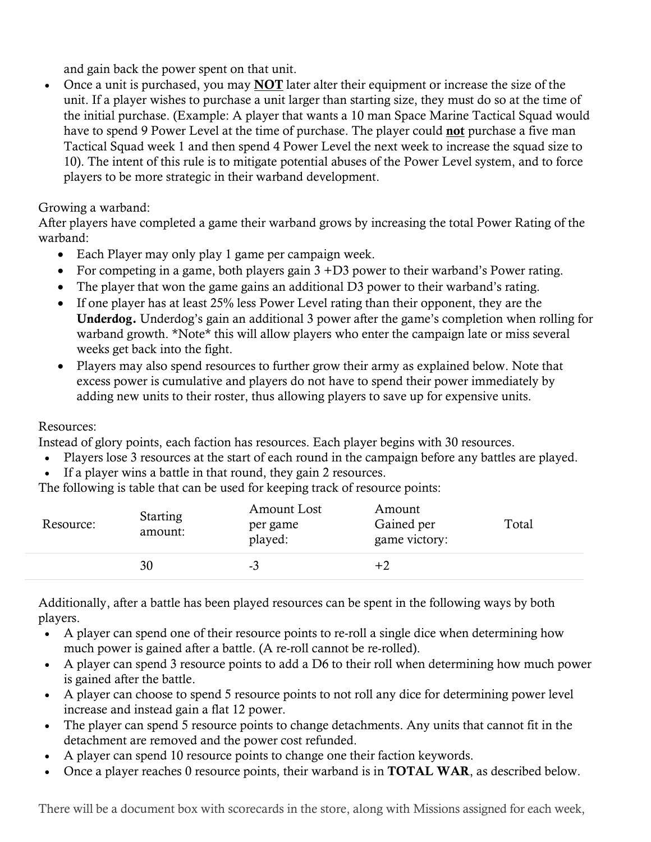and gain back the power spent on that unit.

• Once a unit is purchased, you may **NOT** later alter their equipment or increase the size of the unit. If a player wishes to purchase a unit larger than starting size, they must do so at the time of the initial purchase. (Example: A player that wants a 10 man Space Marine Tactical Squad would have to spend 9 Power Level at the time of purchase. The player could **not** purchase a five man Tactical Squad week 1 and then spend 4 Power Level the next week to increase the squad size to 10). The intent of this rule is to mitigate potential abuses of the Power Level system, and to force players to be more strategic in their warband development.

# Growing a warband:

After players have completed a game their warband grows by increasing the total Power Rating of the warband:

- Each Player may only play 1 game per campaign week.
- For competing in a game, both players gain  $3 + D3$  power to their warband's Power rating.
- The player that won the game gains an additional D3 power to their warband's rating.
- If one player has at least 25% less Power Level rating than their opponent, they are the Underdog. Underdog's gain an additional 3 power after the game's completion when rolling for warband growth. \*Note\* this will allow players who enter the campaign late or miss several weeks get back into the fight.
- Players may also spend resources to further grow their army as explained below. Note that excess power is cumulative and players do not have to spend their power immediately by adding new units to their roster, thus allowing players to save up for expensive units.

# Resources:

Instead of glory points, each faction has resources. Each player begins with 30 resources.

- Players lose 3 resources at the start of each round in the campaign before any battles are played.
- If a player wins a battle in that round, they gain 2 resources.
- The following is table that can be used for keeping track of resource points:

| Resource: | <b>Starting</b><br>amount: | <b>Amount Lost</b><br>per game<br>played: | Amount<br>Gained per<br>game victory: | Total |
|-----------|----------------------------|-------------------------------------------|---------------------------------------|-------|
|           | 30                         | -3                                        | +2                                    |       |

Additionally, after a battle has been played resources can be spent in the following ways by both players.

- A player can spend one of their resource points to re-roll a single dice when determining how much power is gained after a battle. (A re-roll cannot be re-rolled).
- A player can spend 3 resource points to add a D6 to their roll when determining how much power is gained after the battle.
- A player can choose to spend 5 resource points to not roll any dice for determining power level increase and instead gain a flat 12 power.
- The player can spend 5 resource points to change detachments. Any units that cannot fit in the detachment are removed and the power cost refunded.
- A player can spend 10 resource points to change one their faction keywords.
- Once a player reaches 0 resource points, their warband is in **TOTAL WAR**, as described below.

There will be a document box with scorecards in the store, along with Missions assigned for each week,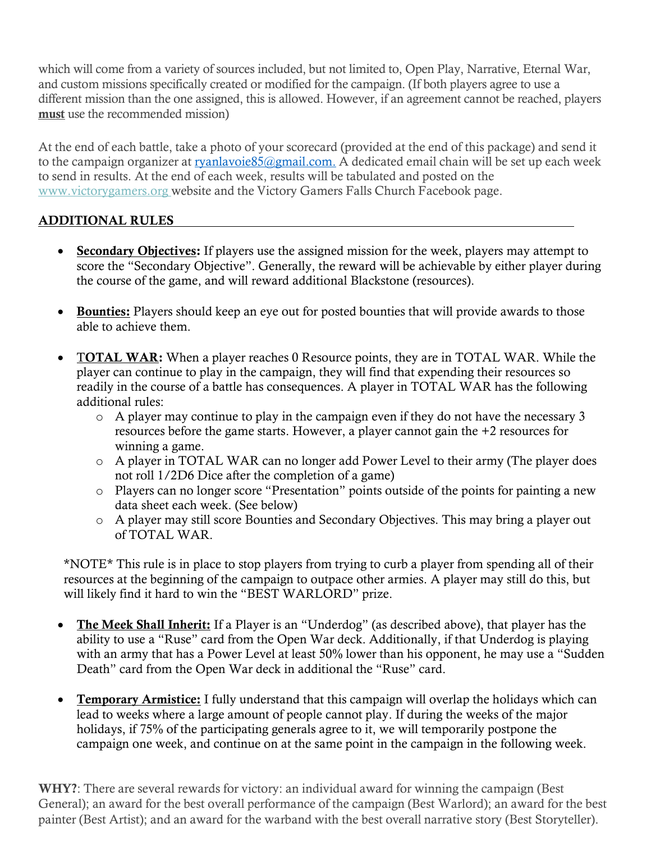which will come from a variety of sources included, but not limited to, Open Play, Narrative, Eternal War, and custom missions specifically created or modified for the campaign. (If both players agree to use a different mission than the one assigned, this is allowed. However, if an agreement cannot be reached, players must use the recommended mission)

At the end of each battle, take a photo of your scorecard (provided at the end of this package) and send it to the campaign organizer at ryanlavoie85@gmail.com. A dedicated email chain will be set up each week to send in results. At the end of each week, results will be tabulated and posted on the www.victorygamers.org website and the Victory Gamers Falls Church Facebook page.

# ADDITIONAL RULES

- Secondary Objectives: If players use the assigned mission for the week, players may attempt to score the "Secondary Objective". Generally, the reward will be achievable by either player during the course of the game, and will reward additional Blackstone (resources).
- Bounties: Players should keep an eye out for posted bounties that will provide awards to those able to achieve them.
- TOTAL WAR: When a player reaches 0 Resource points, they are in TOTAL WAR. While the player can continue to play in the campaign, they will find that expending their resources so readily in the course of a battle has consequences. A player in TOTAL WAR has the following additional rules:
	- o A player may continue to play in the campaign even if they do not have the necessary 3 resources before the game starts. However, a player cannot gain the +2 resources for winning a game.
	- o A player in TOTAL WAR can no longer add Power Level to their army (The player does not roll 1/2D6 Dice after the completion of a game)
	- o Players can no longer score "Presentation" points outside of the points for painting a new data sheet each week. (See below)
	- o A player may still score Bounties and Secondary Objectives. This may bring a player out of TOTAL WAR.

\*NOTE\* This rule is in place to stop players from trying to curb a player from spending all of their resources at the beginning of the campaign to outpace other armies. A player may still do this, but will likely find it hard to win the "BEST WARLORD" prize.

- The Meek Shall Inherit: If a Player is an "Underdog" (as described above), that player has the ability to use a "Ruse" card from the Open War deck. Additionally, if that Underdog is playing with an army that has a Power Level at least 50% lower than his opponent, he may use a "Sudden Death" card from the Open War deck in additional the "Ruse" card.
- Temporary Armistice: I fully understand that this campaign will overlap the holidays which can lead to weeks where a large amount of people cannot play. If during the weeks of the major holidays, if 75% of the participating generals agree to it, we will temporarily postpone the campaign one week, and continue on at the same point in the campaign in the following week.

WHY?: There are several rewards for victory: an individual award for winning the campaign (Best General); an award for the best overall performance of the campaign (Best Warlord); an award for the best painter (Best Artist); and an award for the warband with the best overall narrative story (Best Storyteller).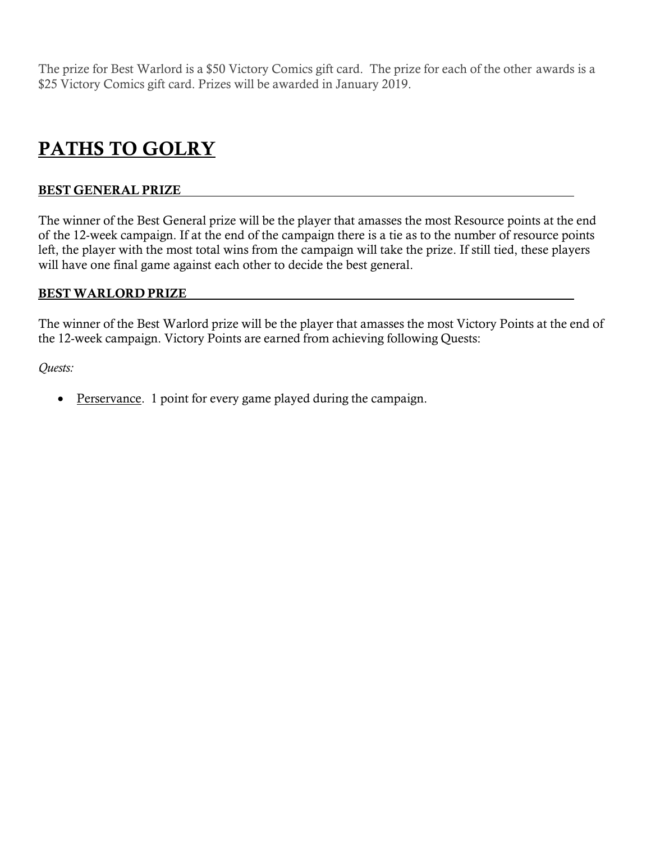The prize for Best Warlord is a \$50 Victory Comics gift card. The prize for each of the other awards is a \$25 Victory Comics gift card. Prizes will be awarded in January 2019.

# PATHS TO GOLRY

#### BEST GENERAL PRIZE

The winner of the Best General prize will be the player that amasses the most Resource points at the end of the 12-week campaign. If at the end of the campaign there is a tie as to the number of resource points left, the player with the most total wins from the campaign will take the prize. If still tied, these players will have one final game against each other to decide the best general.

#### BEST WARLORD PRIZE

The winner of the Best Warlord prize will be the player that amasses the most Victory Points at the end of the 12-week campaign. Victory Points are earned from achieving following Quests:

*Quests:*

• Perservance. 1 point for every game played during the campaign.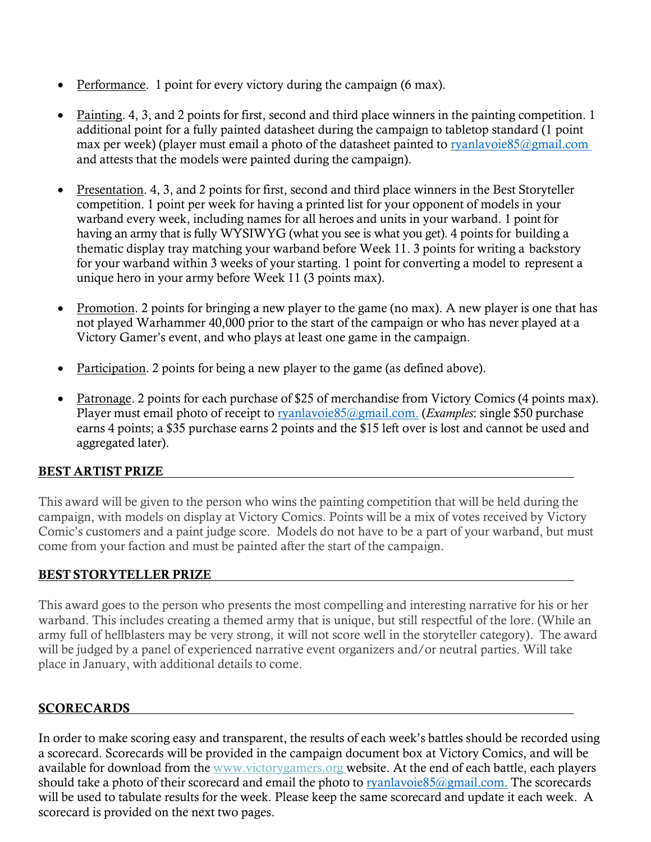- **Performance.** 1 point for every victory during the campaign (6 max).
- Painting. 4, 3, and 2 points for first, second and third place winners in the painting competition. 1 additional point for a fully painted datasheet during the campaign to tabletop standard (1 point max per week) (player must email a photo of the datasheet painted to ryanlavoie85@gmail.com and attests that the models were painted during the campaign).
- Presentation. 4, 3, and 2 points for first, second and third place winners in the Best Storyteller competition. 1 point per week for having a printed list for your opponent of models in your warband every week, including names for all heroes and units in your warband. 1 point for having an army that is fully WYSIWYG (what you see is what you get). 4 points for building a thematic display tray matching your warband before Week 11. 3 points for writing a backstory for your warband within 3 weeks of your starting. 1 point for converting a model to represent a unique hero in your army before Week 11 (3 points max).
- Promotion. 2 points for bringing a new player to the game (no max). A new player is one that has not played Warhammer 40,000 prior to the start of the campaign or who has never played at a Victory Gamer's event, and who plays at least one game in the campaign.
- Participation. 2 points for being a new player to the game (as defined above).
- Patronage. 2 points for each purchase of \$25 of merchandise from Victory Comics (4 points max). Player must email photo of receipt to **ryanlavoie85@gmail.com.** (*Examples*: single \$50 purchase earns 4 points; a \$35 purchase earns 2 points and the \$15 left over is lost and cannot be used and aggregated later).

## BEST ARTIST PRIZE

This award will be given to the person who wins the painting competition that will be held during the campaign, with models on display at Victory Comics. Points will be a mix of votes received by Victory Comic's customers and a paint judge score. Models do not have to be a part of your warband, but must come from your faction and must be painted after the start of the campaign.

#### BEST STORYTELLER PRIZE

This award goes to the person who presents the most compelling and interesting narrative for his or her warband. This includes creating a themed army that is unique, but still respectful of the lore. (While an army full of hellblasters may be very strong, it will not score well in the storyteller category). The award will be judged by a panel of experienced narrative event organizers and/or neutral parties. Will take place in January, with additional details to come.

## **SCORECARDS**

In order to make scoring easy and transparent, the results of each week's battles should be recorded using a scorecard. Scorecards will be provided in the campaign document box at Victory Comics, and will be available for download from the www.victorygamers.org website. At the end of each battle, each players should take a photo of their scorecard and email the photo to ryanlavoie85@gmail.com. The scorecards will be used to tabulate results for the week. Please keep the same scorecard and update it each week. A scorecard is provided on the next two pages.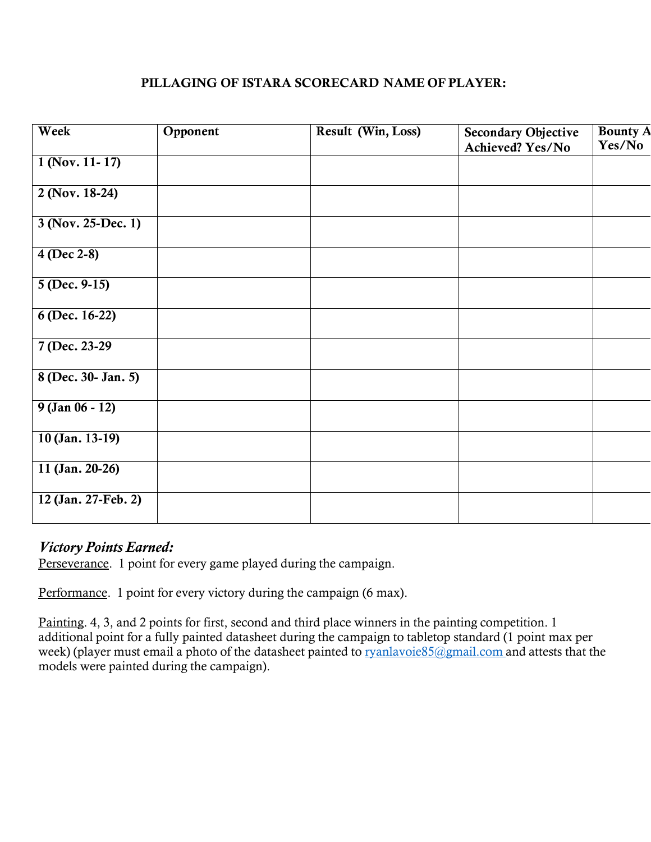### PILLAGING OF ISTARA SCORECARD NAME OF PLAYER:

| Week                | Opponent | Result (Win, Loss) | <b>Secondary Objective</b><br>Achieved? Yes/No | <b>Bounty A</b><br>Yes/No |
|---------------------|----------|--------------------|------------------------------------------------|---------------------------|
| $1$ (Nov. 11-17)    |          |                    |                                                |                           |
| $2$ (Nov. 18-24)    |          |                    |                                                |                           |
| 3 (Nov. 25-Dec. 1)  |          |                    |                                                |                           |
| 4 (Dec 2-8)         |          |                    |                                                |                           |
| $5(Dec. 9-15)$      |          |                    |                                                |                           |
| 6 (Dec. 16-22)      |          |                    |                                                |                           |
| 7 (Dec. 23-29)      |          |                    |                                                |                           |
| 8 (Dec. 30- Jan. 5) |          |                    |                                                |                           |
| $9$ (Jan 06 - 12)   |          |                    |                                                |                           |
| $10$ (Jan. 13-19)   |          |                    |                                                |                           |
| 11 (Jan. 20-26)     |          |                    |                                                |                           |
| 12 (Jan. 27-Feb. 2) |          |                    |                                                |                           |

# *Victory Points Earned:*

Perseverance. 1 point for every game played during the campaign.

Performance. 1 point for every victory during the campaign (6 max).

Painting. 4, 3, and 2 points for first, second and third place winners in the painting competition. 1 additional point for a fully painted datasheet during the campaign to tabletop standard (1 point max per week) (player must email a photo of the datasheet painted to ryanlavoie85@gmail.com and attests that the models were painted during the campaign).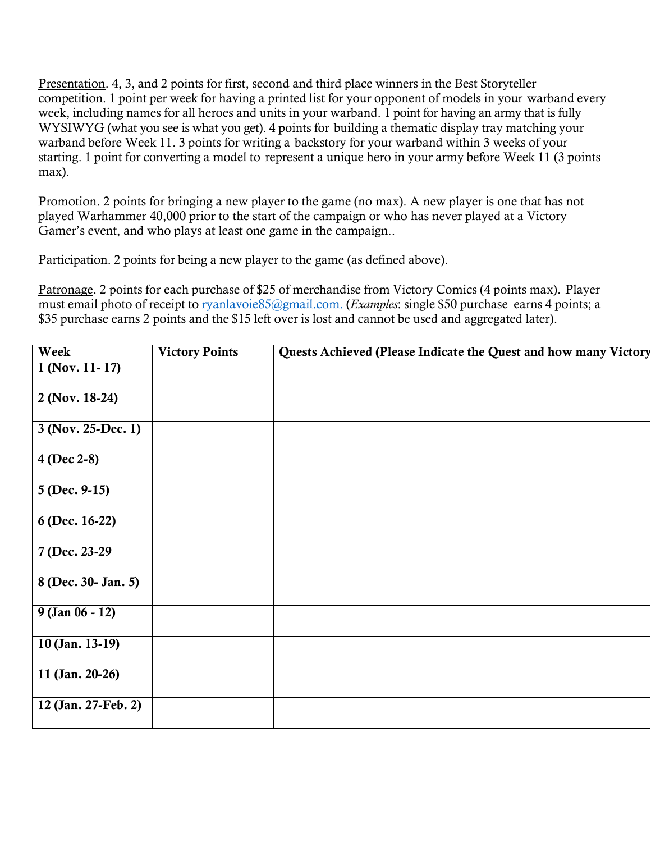Presentation. 4, 3, and 2 points for first, second and third place winners in the Best Storyteller competition. 1 point per week for having a printed list for your opponent of models in your warband every week, including names for all heroes and units in your warband. 1 point for having an army that is fully WYSIWYG (what you see is what you get). 4 points for building a thematic display tray matching your warband before Week 11. 3 points for writing a backstory for your warband within 3 weeks of your starting. 1 point for converting a model to represent a unique hero in your army before Week 11 (3 points max).

Promotion. 2 points for bringing a new player to the game (no max). A new player is one that has not played Warhammer 40,000 prior to the start of the campaign or who has never played at a Victory Gamer's event, and who plays at least one game in the campaign..

Participation. 2 points for being a new player to the game (as defined above).

Patronage. 2 points for each purchase of \$25 of merchandise from Victory Comics (4 points max). Player must email photo of receipt to ryanlavoie85@gmail.com. (*Examples*: single \$50 purchase earns 4 points; a \$35 purchase earns 2 points and the \$15 left over is lost and cannot be used and aggregated later).

| Week                | <b>Victory Points</b> | Quests Achieved (Please Indicate the Quest and how many Victory |
|---------------------|-----------------------|-----------------------------------------------------------------|
| $1$ (Nov. 11-17)    |                       |                                                                 |
| $2$ (Nov. 18-24)    |                       |                                                                 |
| 3 (Nov. 25-Dec. 1)  |                       |                                                                 |
| 4 (Dec 2-8)         |                       |                                                                 |
| $5(Dec. 9-15)$      |                       |                                                                 |
| 6 (Dec. 16-22)      |                       |                                                                 |
| 7 (Dec. 23-29)      |                       |                                                                 |
| 8 (Dec. 30- Jan. 5) |                       |                                                                 |
| $9$ (Jan 06 - 12)   |                       |                                                                 |
| $10$ (Jan. 13-19)   |                       |                                                                 |
| 11 (Jan. 20-26)     |                       |                                                                 |
| 12 (Jan. 27-Feb. 2) |                       |                                                                 |